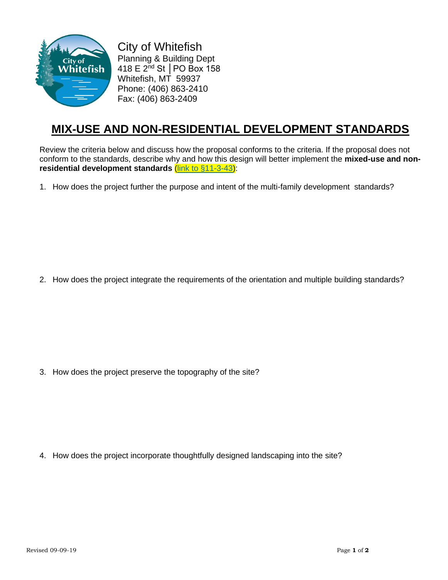

City of Whitefish Planning & Building Dept 418 E 2nd St │PO Box 158 Whitefish, MT 59937 Phone: (406) 863-2410 Fax: (406) 863-2409

## **MIX-USE AND NON-RESIDENTIAL DEVELOPMENT STANDARDS**

Review the criteria below and discuss how the proposal conforms to the criteria. If the proposal does not conform to the standards, describe why and how this design will better implement the **mixed-use and nonresidential development standards** [\(link to §11-3-43\)](https://www.sterlingcodifiers.com/codebook/index.php?book_id=623&chapter_id=42932%20):

1. How does the project further the purpose and intent of the multi-family development standards?

2. How does the project integrate the requirements of the orientation and multiple building standards?

3. How does the project preserve the topography of the site?

4. How does the project incorporate thoughtfully designed landscaping into the site?